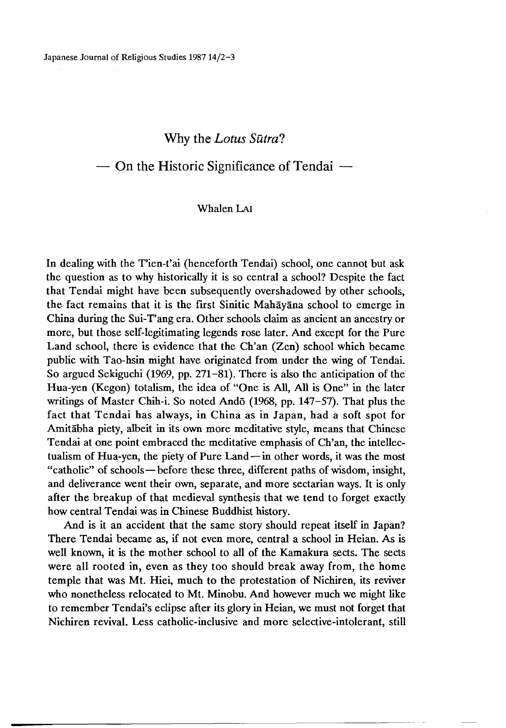## **Why the** *Lotus Sutra?*

# **— On the Historic Significance of Tendai —**

## Whalen Lai

In dealing with the T'ien-t'ai (henceforth Tendai) school, one cannot but ask the question as to why historically it is so central a school? Despite the fact that Tendai might have been subsequently overshadowed by other schools, the fact remains that it is the first Sinitic Mahayana school to emerge in China during the Sui-T'ang era. Other schools claim as ancient an ancestry or more, but those self-legitimating legends rose later. And except for the Pure Land school, there is evidence that the Ch'an (Zen) school which became public with Tao-hsin might have originated from under the wing of Tendai. So argued Sekiguchi (1969, pp. 271-81). There is also the anticipation of the Hua-yen (Kegon) totalism, the idea of "One is All, All is One" in the later writings of Master Chih-i. So noted Ando (1968, pp. 147-57). That plus the fact that Tendai has always, in China as in Japan, had a soft spot for Amitabha piety, albeit in its own more meditative style, means that Chinese Tendai at one point embraced the meditative emphasis of Ch'an, the intellectualism of Hua-yen, the piety of Pure Land—in other words, it was the most "catholic" of schools—before these three, different paths of wisdom, insight, and deliverance went their own, separate, and more sectarian ways. It is only after the breakup of that medieval synthesis that we tend to forget exactly how central Tendai was in Chinese Buddhist history.

And is it an accident that the same story should repeat itself in Japan? There Tendai became as, if not even more, central a school in Heian. As is well known, it is the mother school to all of the Kamakura sects. The sects were all rooted in, even as they too should break away from, the home temple that was Mt. Hiei, much to the protestation of Nichiren, its reviver who nonetheless relocated to Mt. Minobu. And however much we might like to remember Tendai's eclipse after its glory in Heian, we must not forget that Nichiren revival. Less catholic-inclusive and more selective-intolerant, still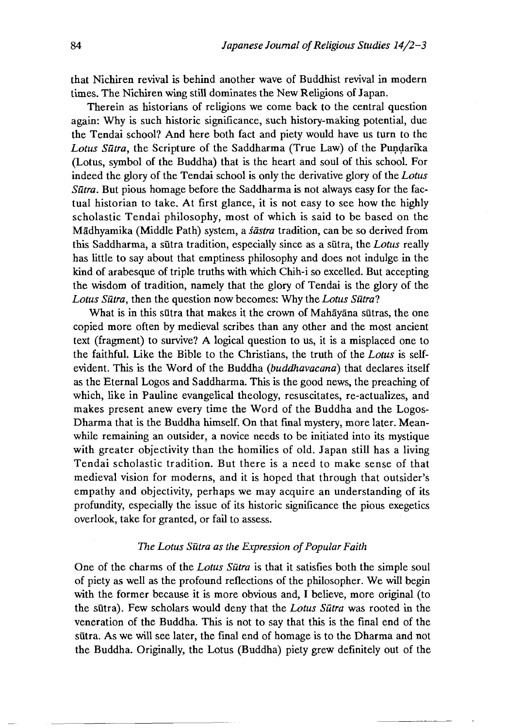that Nichiren revival is behind another wave of Buddhist revival in modern times. The Nichiren wing still dominates the New Religions of Japan.

Therein as historians of religions we come back to the central question again: Why is such historic significance, such history-making potential, due the Tendai school? And here both fact and piety would have us turn to the *Lotus Sutra,* the Scripture of the Saddharma (True Law) of the Pundarika (Lotus, symbol of the Buddha) that is the heart and soul of this school. For indeed the glory of the Tendai school is only the derivative glory of the *Lotus Sutra.* But pious homage before the Saddharma is not always easy for the factual historian to take. At first glance, it is not easy to see how the highly scholastic Tendai philosophy, most of which is said to be based on the Madhyamika (Middle Path) system, a *sastra* tradition, can be so derived from this Saddharma, a sutra tradition, especially since as a sutra, the *Lotus* really has little to say about that emptiness philosophy and does not indulge in the kind of arabesque of triple truths with which Chih-i so excelled. But accepting the wisdom of tradition, namely that the glory of Tendai is the glory of the Lotus Sūtra, then the question now becomes: Why the *Lotus Sūtra*?

What is in this sutra that makes it the crown of Mahayana sutras, the one copied more often by medieval scribes than any other and the most ancient text (fragment) to survive? A logical question to us, it is a misplaced one to the faithful. Like the Bible to the Christians, the truth of the *Lotus* is selfevident. This is the Word of the Buddha *{buddhavacana)* that declares itself as the Eternal Logos and Saddharma. This is the good news, the preaching of which, like in Pauline evangelical theology, resuscitates, re-actualizes, and makes present anew every time the Word of the Buddha and the Logos-Dharma that is the Buddha himself. On that final mystery, more later. Meanwhile remaining an outsider, a novice needs to be initiated into its mystique with greater objectivity than the homilies of old. Japan still has a living Tendai scholastic tradition. But there is a need to make sense of that medieval vision for moderns, and it is hoped that through that outsider's empathy and objectivity, perhaps we may acquire an understanding of its profundity, especially the issue of its historic significance the pious exegetics overlook, take for granted, or fail to assess.

#### *The Lotus Sutra as the Expression of Popular Faith*

One of the charms of the *Lotus Sutra* is that it satisfies both the simple soul of piety as well as the profound reflections of the philosopher. We will begin with the former because it is more obvious and, I believe, more original (to the sūtra). Few scholars would deny that the *Lotus Sūtra* was rooted in the veneration of the Buddha. This is not to say that this is the final end of the sutra. As we will see later, the final end of homage is to the Dharma and not the Buddha. Originally, the Lotus (Buddha) piety grew definitely out of the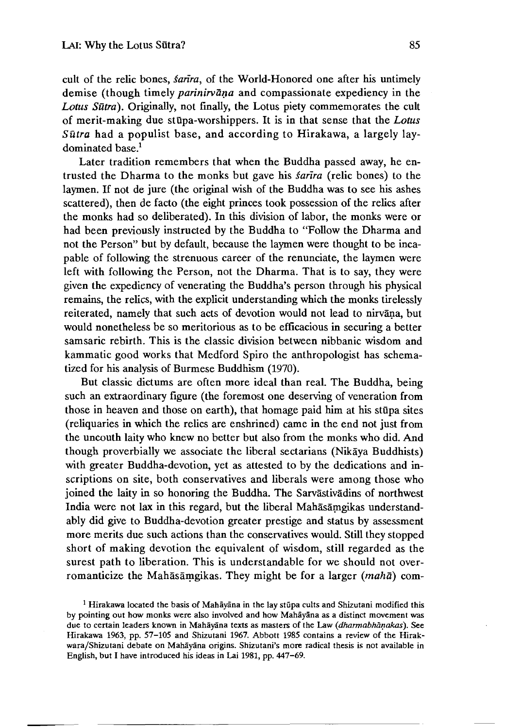cult of the relic bones, *§anra^* of the World-Honored one after his untimely demise (though timely *parinirvana* and compassionate expediency in the *Lotus Sutra).* Originally, not finally, the Lotus piety commemorates the cult of merit-making due stupa-worshippers. It is in that sense that the *Lotus Sutra* had a populist base, and according to Hirakawa, a largely laydominated base.<sup>1</sup>

Later tradition remembers that when the Buddha passed away, he entrusted the Dharma to the monks but gave his *^arira* (relic bones) to the laymen. If not de jure (the original wish of the Buddha was to see his ashes scattered), then de facto (the eight princes took possession of the relics after the monks had so deliberated). In this division of labor, the monks were or had been previously instructed by the Buddha to "Follow the Dharma and not the Person" but by default, because the laymen were thought to be incapable of following the strenuous career of the renunciate, the laymen were left with following the Person, not the Dharma. That is to say, they were given the expediency of venerating the Buddha's person through his physical remains, the relics, with the explicit understanding which the monks tirelessly reiterated, namely that such acts of devotion would not lead to nirvana, but would nonetheless be so meritorious as to be efficacious in securing a better samsaric rebirth. This is the classic division between nibbanic wisdom and kammatic good works that Medford Spiro the anthropologist has schematized for his analysis of Burmese Buddhism (1970).

But classic dictums are often more ideal than real. The Buddha, being such an extraordinary figure (the foremost one deserving of veneration from those in heaven and those on earth), that homage paid him at his stupa sites (reliquaries in which the relics are enshrined) came in the end not just from the uncouth laity who knew no better but also from the monks who did. And though proverbially we associate the liberal sectarians (Nikaya Buddhists) with greater Buddha-devotion, yet as attested to by the dedications and inscriptions on site, both conservatives and liberals were among those who joined the laity in so honoring the Buddha. The Sarvastivadins of northwest India were not lax in this regard, but the liberal Mahasamgikas understandably did give to Buddha-devotion greater prestige and status by assessment more merits due such actions than the conservatives would. Still they stopped short of making devotion the equivalent of wisdom, still regarded as the surest path to liberation. This is understandable for we should not overromanticize the Mahasamgikas. They might be for a larger *(maha)* com-

<sup>&</sup>lt;sup>1</sup> Hirakawa located the basis of Mahāyāna in the lay stūpa cults and Shizutani modified this by pointing out how monks were also involved and how Mahayana as a distinct movement was due to certain leaders known in Mahayana texts as masters of the Law *(dharmabhanakas).* See Hirakawa 1963 pp. 57-105 and Shizutani 1967. Abbott 1985 contains a review of the Hirakwara/Shizutani debate on Mahāyāna origins. Shizutani's more radical thesis is not available in English, but I have introduced his ideas in Lai 1981, pp. 447-69.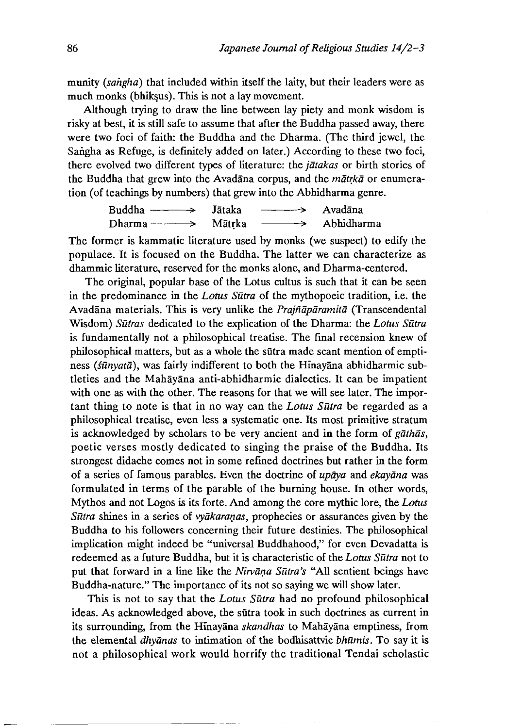munity *{sahgha)* that included within itself the laity, but their leaders were as much monks (bhiksus). This is not a lay movement.

Although trying to draw the line between lay piety and monk wisdom is risky at best, it is still safe to assume that after the Buddha passed away, there were two foci of faith: the Buddha and the Dharma. (The third jewel, the Sangha as Refuge, is definitely added on later.) According to these two foci, there evolved two different types of literature: the *jatakas* or birth stories of the Buddha that grew into the Avadana corpus, and the *matrka* or enumeration (of teachings by numbers) that grew into the ADhidharma genre.

Buddha ------> Jataka ------> Avadana Dharma------> Matrka ------> ADhidharma

The former is kammatic literature used by monks (we suspect) to edify the populace. It is focused on the Buddha. The latter we can characterize as dhammic literature, reserved for the monks alone, and Dharma-centered.

The original, popular base of the Lotus cultus is such that it can be seen in the predominance in the *Lotus Sutra* of the mythopoeic tradition, i.e. the Avadana materials. This is very unlike the *Prajnaparamita* (Transcendental Wisdom) *Sutras* dedicated to the explication of the Dharma: the *Lotus Sutra* is fundamentally not a philosophical treatise. The final recension knew of philosophical matters, but as a whole the sutra made scant mention of emptiness *(sūnyatā)*, was fairly indifferent to both the Hinayana abhidharmic subtleties and the Mahayana anti-abhidharmic dialectics. It can be impatient with one as with the other. The reasons for that we will see later. The important thing to note is that in no way can the *Lotus Sutra* be regarded as a philosophical treatise, even less a systematic one. Its most primitive stratum is acknowledged by scholars to be very ancient and in the form of *gathas,* poetic verses mostly dedicated to singing the praise of the Buddha. Its strongest didache comes not in some refined doctrines but rather in the form of a series of famous parables. Even the doctrine of *upaya* and *ekayana* was formulated in terms of the parable of the burning house. In other words, Mythos and not Logos is its forte. And among the core mythic lore, the *Lotus Sutra* shines in a series of *vyakaranas,* prophecies or assurances given by the Buddha to his followers concerning their future destinies. The philosophical implication might indeed be "universal Buddhahood," for even Devadatta is redeemed as a future Buddha, but it is characteristic of the *Lotus Sutra* not to put that forward in a line like the *Nirvana Sutra's* "All sentient beings have Buddha-nature." The importance of its not so saying we will show later.

This is not to say that the *Lotus Sutra* had no profound philosophical ideas. As acknowledged above, the sutra took in such doctrines as current in its surrounding, from the Hinayana *skandhas* to Mahayana emptiness, from the elemental *dhyanas* to intimation of the bodhisattvic *bhūmis*. To say it is not a philosophical work would horrify the traditional Tendai scholastic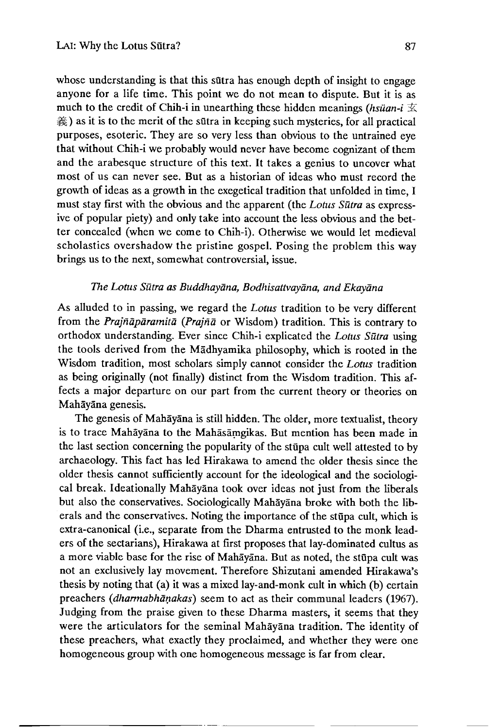whose understanding is that this sutra has enough depth of insight to engage anyone for a life time. This point we do not mean to dispute. But it is as much to the credit of Chih-i in unearthing these hidden meanings *(hsüan-i*  $\overline{\mathbb{X}}$ ) ) as it is to the merit of the sutra in keeping such mysteries, for all practical purposes, esoteric. They are so very less than obvious to the untrained eye that without Chih-i we probably would never have become cognizant of them and the arabesque structure of this text. It takes a genius to uncover what most of us can never see. But as a historian of ideas who must record the growth of ideas as a growth in the exegetical tradition that unfolded in time, I must stay first with the obvious and the apparent (the *Lotus Sutra* as expressive of popular piety) and only take into account the less obvious and the better concealed (when we come to Chih-i). Otherwise we would let medieval scholastics overshadow the pristine gospel. Posing the problem this way brings us to the next, somewhat controversial, issue.

## *The Lotus Sutra as Buddhayana, Bodhisattvayana, and Ekayana*

As alluded to in passing, we regard the *Lotus* tradition to be very different from the *Prajnaparamita (Prajna* or Wisdom) tradition. This is contrary to orthodox understanding. Ever since Chih-i explicated the *Lotus Sutra* using the tools derived from the Madhyamika philosophy, which is rooted in the Wisdom tradition, most scholars simply cannot consider the *Lotus* tradition as being originally (not finally) distinct from the Wisdom tradition. This affects a major departure on our part from the current theory or theories on Mahāyāna genesis.

The genesis of Mahāyāna is still hidden. The older, more textualist, theory is to trace Mahayana to the Mahasamgikas. But mention has been made in the last section concerning the popularity of the stupa cult well attested to by archaeology. This fact has led Hirakawa to amend the older thesis since the older thesis cannot sufficiently account for the ideological and the sociological break. Ideationally Maihayana took over ideas not just from the liberals but also the conservatives. Sociologically Mahāyana broke with both the liberals and the conservatives. Noting the importance of the stupa cult, which is extra-canonical (i.e., separate from the Dharma entrusted to the monk leaders of the sectarians), Hirakawa at first proposes that lay-dominated cultus as a more viable base for the rise of Mahayana. But as noted, the stupa cult was not an exclusively lay movement. Therefore Shizutani amended Hirakawa's thesis by noting that (a) it was a mixed lay-and-monk cult in which (b) certain preachers *{dharmabhanakas)* seem to act as their communal leaders (1967). Judging from the praise given to these Dharma masters, it seems that they were the articulators for the seminal Mahayana tradition. The identity of these preachers, what exactly they proclaimed, and whether they were one homogeneous group with one homogeneous message is far from clear.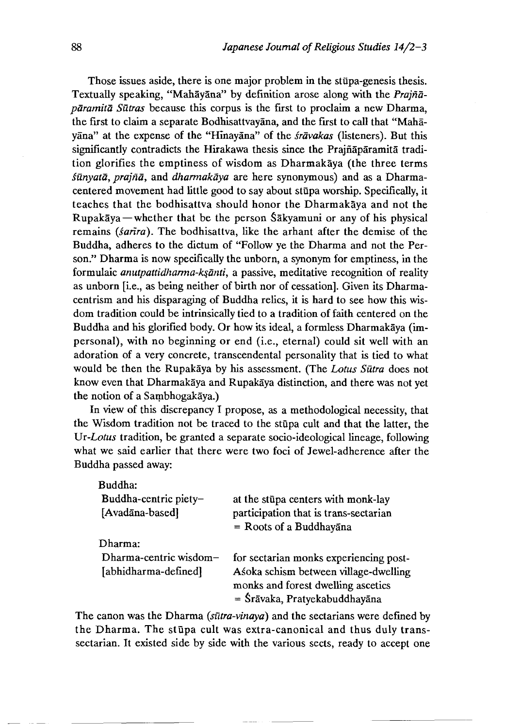Those issues aside, there is one major problem in the stupa-genesis thesis. Textually speaking, "Mahāyāna" by definition arose along with the *Prajnaparamita Sutras* because this corpus is the first to proclaim a new Dharma, the first to claim a separate Bodhisattvayana, and the first to call that "Mahay5na" at the expense of the "HInay5na" of the *§ravakas* (listeners). But this significantly contradicts the Hirakawa thesis since the Prajnaparamita tradition glorifies the emptiness of wisdom as Dharmakaya (the three terms *Sunyata, prajna,* and *dharmakaya* are here synonymous) and as a Dharmacentered movement had little good to say about sttipa worship. Specifically, it teaches that the bodhisattva should honor the Dharmakaya and not the Rupakaya — whether that be the person  $\delta$  akyamuni or any of his physical remains *{sanra).* The bodhisattva, like the arhant after the demise of the Buddha, adheres to the dictum of "Follow ye the Dharma and not the Person." Dharma is now specifically the unborn, a synonym for emptiness, in the formulaic *anutpattidharma-k^anti,* a passive, meditative recognition of reality as unborn [i.e., as being neither of birth nor of cessation]. Given its Dharmacentrism and his disparaging of Buddha relics, it is hard to see how this wisdom tradition could be intrinsically tied to a tradition of faith centered on the Buddha and his glorified body. Or how its ideal, a formless Dharmakaya (impersonal), with no beginning or end (i.e., eternal) could sit well with an adoration of a very concrete, transcendental personality that is tied to what would be then the Rupakaya by his assessment. (The *Lotus Sutra* does not know even that Dharmakaya and Rupakaya distinction, and there was not yet the notion of a Sambhogakaya.)

In view of this discrepancy I propose, as a methodological necessity, that the Wisdom tradition not be traced to the stupa cult and that the latter, the *Un-Lotus* tradition, be granted a separate socio-ideological lineage, following what we said earlier that there were two foci of Jewel-adherence after the Buddha passed away:

| Buddha:                |                                        |
|------------------------|----------------------------------------|
| Buddha-centric piety-  | at the stup centers with monk-lay      |
| [Avadāna-based]        | participation that is trans-sectarian  |
|                        | $=$ Roots of a Buddhayana              |
| Dharma:                |                                        |
| Dharma-centric wisdom- | for sectarian monks experiencing post- |
| [abhidharma-defined]   | Asoka schism between village-dwelling  |
|                        | monks and forest dwelling ascetics     |
|                        | = Śrāvaka, Pratyekabuddhayāna          |

The canon was the Dharma *(sūtra-vinaya)* and the sectarians were defined by the Dharma. The stupa cult was extra-canonical and thus duly transsectarian. It existed side by side with the various sects, ready to accept one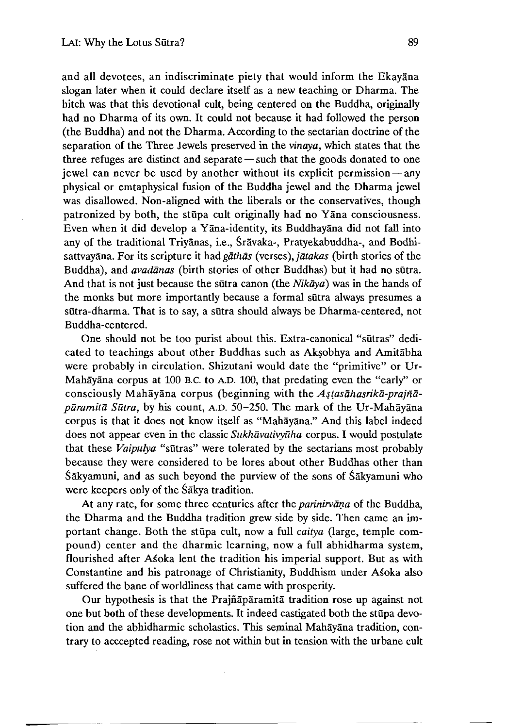and all devotees, an indiscriminate piety that would inform the Ekayana slogan later when it could declare itself as a new teaching or Dharma. The hitch was that this devotional cult, being centered on the Buddha, originally had no Dharma of its own. It could not because it had followed the person (the Buddha) and not the Dharma. According to the sectarian doctrine of the separation of the Three Jewels preserved in the *vinaya,* which states that the three refuges are distinct and separate — such that the goods donated to one jewel can never be used by another without its explicit permission — any physical or emtaphysical fusion of the Buddha jewel and the Dharma jewel was disallowed. Non-aligned with the liberals or the conservatives, though patronized by both, the stupa cult originally had no Yana consciousness. Even when it did develop a Yana-identity, its Buddhayana did not fall into any of the traditional Triyanas, i.e., §ravaka-, Pratyekabuddha-, and Bodhisattvayana. For its scripture it had *gathas* (verses), *jatakas* (birth stories of the Buddha), and *avadanas* (birth stories of other Buddhas) but it had no sutra. And that is not just because the sutra canon (the *Nikaya)* was in the hands of the monks but more importantly because a formal sutra always presumes a sutra-dharma. That is to say, a sutra should always be Dharma-centered, not Buddha-centered.

One should not be too purist about this. Extra-canonical "siitras" dedicated to teachings about other Buddhas such as Aksobhya and Amitabha were probably in circulation. Shizutani would date the "primitive" or Ur-Mahāyāna corpus at 100 B.C. to A.D. 100, that predating even the "early" or consciously Mahayana corpus (beginning with the *A^tasahasrika-prajnaparamita Sutra,* by his count, A.D. 50-250. The mark of the Ur-Mahayana corpus is that it does not know itself as "Mahayana." And this label indeed does not appear even in the classic *Sukhavativyuha* corpus. I would postulate that these *Vaipulya* "sūtras" were tolerated by the sectarians most probably because they were considered to be lores about other Buddhas other than Sakyamuni, and as such beyond the purview of the sons of Sakyamuni who were keepers only of the Sakya tradition.

At any rate, for some three centuries after the *parinirvana* of the Buddha, the Dharma and the Buddha tradition grew side by side. Then came an important change. Both the stupa cult, now a full *caitya* (large, temple compound) center and the dharmic learning, now a full abhidharma system, flourished after Asoka lent the tradition his imperial support. But as with Constantine and his patronage of Christianity, Buddhism under A^oka also suffered the bane of worldliness that came with prosperity.

Our hypothesis is that the Prajnaparamita tradition rose up against not one but both of these developments. It indeed castigated both the stupa devotion and the abhidharmic scholastics. This seminal Mahayana tradition, contrary to acccepted reading, rose not within but in tension with the urbane cult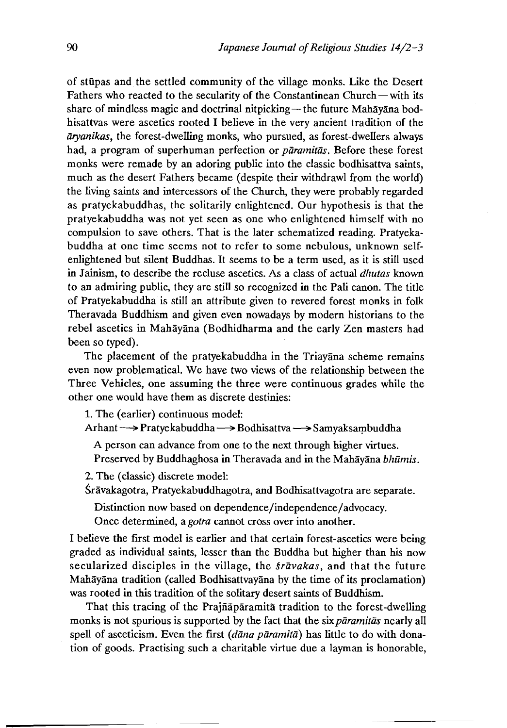of stupas and the settled community of the village monks. Like the Desert Fathers who reacted to the secularity of the Constantinean Church — with its share of mindless magic and doctrinal nitpicking—the future Mahayana bodhisattvas were ascetics rooted I believe in the very ancient tradition of the *aryanikas,* the forest-dwelling monks, who pursued, as forest-dwellers always had, a program of superhuman perfection or *paramitas.* Before these forest monks were remade by an adoring public into the classic bodhisattva saints, much as the desert Fathers became (despite their withdrawl from the world) the living saints and intercessors of the Church, they were probably regarded as pratyekabuddhas, the solitarily enlightened. Our hypothesis is that the pratyekabuddha was not yet seen as one who enlightened himself with no compulsion to save others. That is the later schematized reading. Pratyekabuddha at one time seems not to refer to some nebulous, unknown selfenlightened but silent Buddhas. It seems to be a term used, as it is still used in Jainism, to describe the recluse ascetics. As a class of actual *dhutas* known to an admiring public, they are still so recognized in the Pali canon. The title of Pratyekabuddha is still an attribute given to revered forest monks in folk Theravada Buddhism and given even nowadays by modern historians to the rebel ascetics in Mahayana (Bodhidharma and the early Zen masters had been so typed).

The placement of the pratyekabuddha in the Triayana scheme remains even now problematical. We have two views of the relationship between the Three Vehicles, one assuming the three were continuous grades while the other one would have them as discrete destinies:

1.The (earlier) continuous model:

Arhant *— >* Pratyekabuddha *~>* Bodhisattva *~ >* Samyaksambuddha

A person can advance from one to the next through higher virtues. Preserved by Buddhaghosa in Theravada and in the Mahayana *bhumis.*

2. The (classic) discrete model:

Śrāvakagotra, Pratyekabuddhagotra, and Bodhisattvagotra are separate.

Distinction now based on dependence/independence/advocacy.

Once determined, a *gotra* cannot cross over into another.

I believe the first model is earlier and that certain forest-ascetics were being graded as individual saints, lesser than the Buddha but higher than his now secularized disciples in the village, the *travakas*, and that the future Mahayana tradition (called Bodhisattvayana by the time of its proclamation) was rooted in this tradition of the solitary desert saints of Buddhism.

That this tracing of the Prajñaparamita tradition to the forest-dwelling monks is not spurious is supported by the fact that the six*paramitas* nearly all spell of asceticism. Even the first *{dana paramita)* has little to do with donation of goods. Practising such a charitable virtue due a layman is honorable,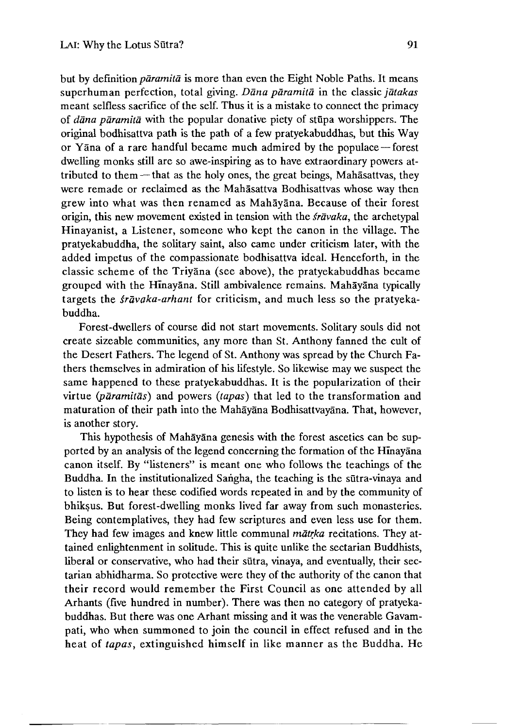but by definition *paramita* is more than even the Eight Noble Paths. It means superhuman perfection, total giving. *Dana paramita* in the classic *jatakas* meant selfless sacrifice of the self. Thus it is a mistake to connect the primacy of *dana paramita* with the popular donative piety of stupa worshippers. The original bodhisattva path is the path of a few pratyekabuddhas, but this Way or Yana of a rare handful became much admired by the populace — forest dwelling monks still are so awe-inspiring as to have extraordinary powers attributed to them  $-$  that as the holy ones, the great beings, Mahasattvas, they were remade or reclaimed as the Mahāsattva Bodhisattvas whose way then grew into what was then renamed as Mahayana. Because of their forest origin, this new movement existed in tension with the *sravaka,* the archetypal Hinayanist, a Listener, someone who kept the canon in the village. The pratyekabuddha, the solitary saint, also came under criticism later, with the added impetus of the compassionate bodhisattva ideal. Henceforth, in the classic scheme of the Triyana (see above), the pratyekabuddhas became grouped with the Hinayana. Still ambivalence remains. Mahayana typically targets the *§ravaka-arhant* for criticism, and much less so the pratyekabuddha.

Forest-dwellers of course did not start movements. Solitary souls did not create sizeable communities, any more than St. Anthony fanned the cult of the Desert Fathers. The legend of St. Anthony was spread by the Church Fathers themselves in admiration of his lifestyle. So likewise may we suspect the same happened to these pratyekabuddhas. It is the popularization of their virtue *(paramitas)* and powers *(tapas)* that led to the transformation and maturation of their path into the Mahayana Bodhisattvayana. That, however, is another story.

This hypothesis of Mahāyāna genesis with the forest ascetics can be supported by an analysis of the legend concerning the formation of the Hinayana canon itself. By "listeners" is meant one who follows the teachings of the Buddha. In the institutionalized Sangha, the teaching is the sutra-vinaya and to listen is to hear these codified words repeated in and by the community of bhiksus. But forest-dwelling monks lived far away from such monasteries. Being contemplatives, they had few scriptures and even less use for them. They had few images and knew little communal *matrka* recitations. They attained enlightenment in solitude. This is quite unlike the sectarian Buddhists, liberal or conservative, who had their sutra, vinaya, and eventually, their sectarian abhidharma. So protective were they of the authority of the canon that their record would remember the First Council as one attended by all Arhants (five hundred in number). There was then no category of pratyekabuddhas. But there was one Arhant missing and it was the venerable Gavampati, who when summoned to join the council in effect refused and in the heat of *tapas,* extinguished himself in like manner as the Buddha. He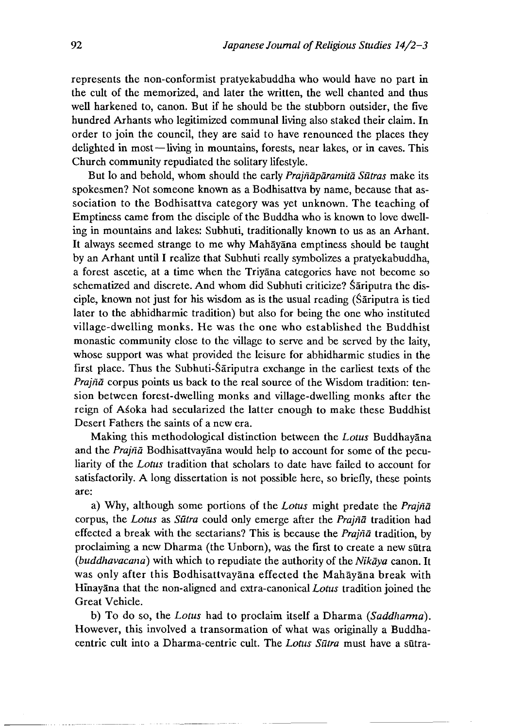represents the non-conformist pratyekabuddha who would have no part in the cult of the memorized, and later the written, the well chanted and thus well harkened to, canon. But if he should be the stubborn outsider, the five hundred Arhants who legitimized communal living also staked their claim. In order to join the council, they are said to have renounced the places they delighted in most—living in mountains, forests, near lakes, or in caves. This Church community repudiated the solitary lifestyle.

But lo and behold, whom should the early *Prajnaparamita Siitras* make its spokesmen? Not someone known as a Bodhisattva by name, because that association to the Bodhisattva category was yet unknown. The teaching of Emptiness came from the disciple of the Buddha who is known to love dwelling in mountains and lakes: Subhuti, traditionally known to us as an Arhant. It always seemed strange to me why Mahayana emptiness should be taught by an Arhant until I realize that Subhuti really symbolizes a pratyekabuddha, a forest ascetic, at a time when the Triyana categories have not become so schematized and discrete. And whom did Subhuti criticize? Sariputra the disciple, known not just for his wisdom as is the usual reading (Sariputra is tied later to the abhidharmic tradition) but also for being the one who instituted village-dwelling monks. He was the one who established the Buddhist monastic community close to the village to serve and be served by the laity, whose support was what provided the leisure for abhidharmic studies in the first place. Thus the Subhuti-Sariputra exchange in the earliest texts of the *Prajna* corpus points us back to the real source of the Wisdom tradition: tension between forest-dwelling monks and village-dwelling monks after the reign of Asoka had secularized the latter enough to make these Buddhist Desert Fathers the saints of a new era.

Making this methodological distinction between the *Lotus* Buddhayana and the *Prajiia* Bodhisattvayana would help to account for some of the peculiarity of the *Lotus* tradition that scholars to date have failed to account for satisfactorily. A long dissertation is not possible here, so briefly, these points are:

a) Why, although some portions of the *Lotus* might predate the *Prajna* corpus, the *Lotus* as *Sutra* could only emerge after the *Prajna* tradition had effected a break with the sectarians? This is because the *Prajna* tradition, by proclaiming a new Dharma (the Unborn), was the first to create a new sutra *(buddhavacana)* with which to repudiate the authority of the *Nikaya* canon. It was only after this Bodhisattvayana effected the Mahayana break with Hinayana that the non-aligned and extra-canonical *Lotus* tradition joined the Great Vehicle.

b) To do so, the *Lotus* had to proclaim itself a Dharma *(Saddharma).* However, this involved a transormation of what was originally a Buddhacentric cult into a Dharma-centric cult. The *Lotus Sūtra* must have a sūtra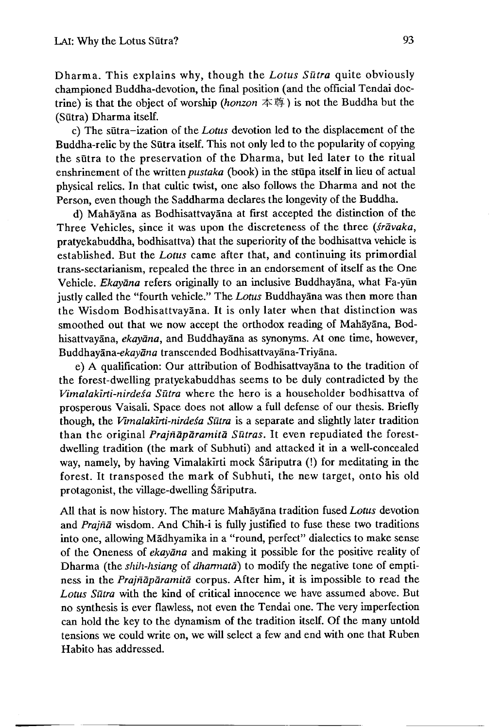Dharma. This explains why, though the *Lotus Sutra* quite obviously championed Buddha-devotion, the final position (and the official Tendai doctrine) is that the object of worship *{horizon* 本尊)is not the Buddha but the (Sutra) Dharma itself.

c) The sutra-ization of the *Lotus* devotion led to the displacement of the Buddha-relic by the Sutra itself. This not only led to the popularity of copying the sūtra to the preservation of the Dharma, but led later to the ritual enshrinement of the written *pustaka* (book) in the stupa itself in lieu of actual physical relics. In that cultic twist, one also follows the Dharma and not the Person, even though the Saddharma declares the longevity of the Buddha.

d) Mahayana as Bodhisattvayana at first accepted the distinction of the Three Vehicles, since it was upon the discreteness of the three *(sravaka,* pratyekabuddha, bodhisattva) that the superiority of the bodhisattva vehicle is established. But the *Lotus* came after that, and continuing its primordial trans-sectarianism, repealed the three in an endorsement of itself as the One Vehicle. *Ekayāna* refers originally to an inclusive Buddhayāna, what Fa-yün justly called the "fourth vehicle." The *Lotus* Buddhayana was then more than the Wisdom Bodhisattvayana. It is only later when that distinction was smoothed out that we now accept the orthodox reading of Mahayana, Bodhisattvayana, *ekayana*, and Buddhayana as synonyms. At one time, however, *Buddhayandi-ekayana* transcended Bodhisattvayana-Triyana.

e) A qualification: Our attribution of Bodhisattvayana to the tradition of the forest-dwelling pratyekabuddhas seems to be duly contradicted by the *Vimalakirti-nirdesa Sūtra* where the hero is a householder bodhisattva of prosperous Vaisali. Space does not allow a full defense of our thesis. Briefly though, the *Vimalakirti-nirde^a Sutra* is a separate and slightly later tradition than the original *Prajnaparamita Sutras,* It even repudiated the forestdwelling tradition (the mark of Subhuti) and attacked it in a well-concealed way, namely, by having Vimalakirti mock Sariputra (!) for meditating in the forest. It transposed the mark of Subhuti, the new target, onto his old protagonist, the village-dwelling Sariputra.

All that is now history. The mature Mahayana tradition fused *Lotus* devotion and *Prajna* wisdom. And Chih-i is fully justified to fuse these two traditions into one, allowing Madhyamika in a "round, perfect" dialectics to make sense of the Oneness of *ekayana* and making it possiole for the positive reality of Dharma (the *shih-hsiang* of *dharmata*) to modify the negative tone of emptiness in the *Prajnaparamita* corpus. After him, it is impossible to read the *Lotus Siitra* with the kind of critical innocence we have assumed above. But no synthesis is ever flawless, not even the Tendai one. The very imperfection can hold the key to the dynamism of the tradition itself. Of the many untold tensions we could write on, we will select a few and end with one that Ruben Habito has addressed.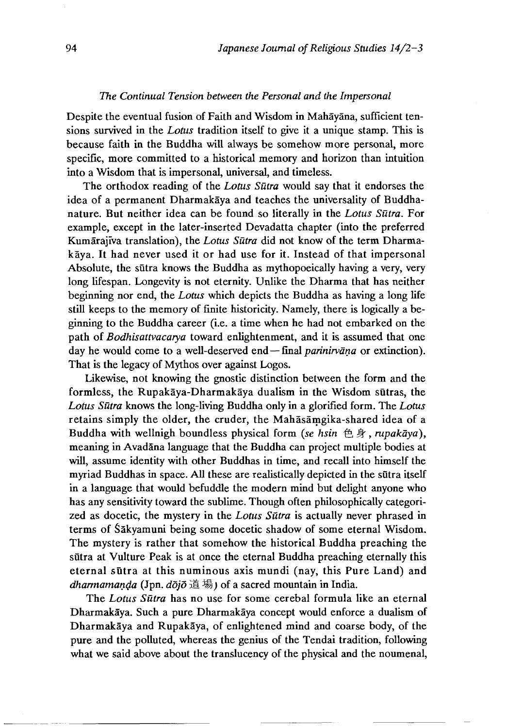## *The Continual Tension between the Personal and the Impersonal*

Despite the eventual fusion of Faith and Wisdom in Mahayana, sufficient tensions survived in the *Lotus* tradition itself to give it a unique stamp. This is because faith in the Buddha will always be somehow more personal, more specific, more committed to a historical memory and horizon than intuition into a Wisdom that is impersonal, universal, and timeless.

The orthodox reading of the *Lotus Sutra* would say that it endorses the idea of a permanent Dharmakaya and teaches the universality of Buddhanature. But neither idea can be found so literally in the *Lotus Sutra.* For example, except in the later-inserted Devadatta chapter (into the preferred Kumārajīva translation), the *Lotus Sūtra* did not know of the term Dharmakaya. It had never used it or had use for it. Instead of that impersonal Absolute, the sūtra knows the Buddha as mythopoeically having a very, very long lifespan. Longevity is not eternity. Unlike the Dharma that has neither beginning nor end, the *Lotus* which depicts the Buddha as having a long life still keeps to the memory of finite historicity. Namely, there is logically a beginning to the Buddha career (i.e. a time when he had not embarked on the path of *Bodhisattvacarya* toward enlightenment, and it is assumed that one day he would come to a well-deserved end — final *parinirvana* or extinction). That is the legacy of Mythos over against Logos.

Likewise, not knowing the gnostic distinction between the form and the formless, the Rupakāya-Dharmakāya dualism in the Wisdom sūtras, the *Lotus Sutra* knows the long-living Buddha only in a glorified form. The *Lotus* retains simply the older, the cruder, the Mahasamgika-shared idea of a Buddha with wellnigh boundless physical form (se hsin 色身,*rupakaya*), meaning in AvadSna language that the Buddha can project multiple bodies at will, assume identity with other Buddhas in time, and recall into himself the myriad Buddhas in space. All these are realistically depicted in the sutra itself in a language that would befuddle the modern mind but delight anyone who has any sensitivity toward the sublime. Though often philosophically categorized as docetic, the mystery in the *Lotus Sutra* is actually never phrased in terms of Sakyamuni being some docetic shadow of some eternal Wisdom. The mystery is rather that somehow the historical Buddha preaching the sūtra at Vulture Peak is at once the eternal Buddha preaching eternally this eternal sūtra at this numinous axis mundi (nay, this Pure Land) and *dharmaman^a* (Jpn. *dojo* 道場 J of a sacred mountain in India.

The *Lotus Siitra* has no use for some cerebal formula like an eternal Dharmakaya. Such a pure Dharmakaya concept would enforce a dualism of Dharmakaya and Rupakaya, of enlightened mind and coarse body, of the pure and the polluted, whereas the genius of the Tendai tradition, following what we said above about the translucency of the physical and the noumenal,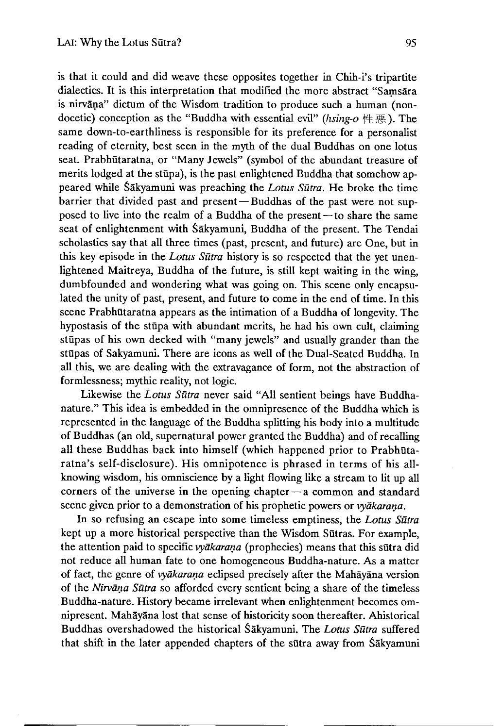formlessness; mythic reality, not logic.

is that it could and did weave these opposites together in Chih-i's tripartite dialectics. It is this interpretation that modified the more abstract "Samsara is nirvāņa" dictum of the Wisdom tradition to produce such a human (nondocetic) conception as the "Buddha with essential evil" *(hsing-o* 性悪). The same down-to-earthliness is responsible for its preference for a personalist reading of eternity, best seen in the myth of the dual Buddhas on one lotus seat. Prabhūtaratna, or "Many Jewels" (symbol of the abundant treasure of merits lodged at the stupa), is the past enlightened Buddha that somehow appeared while Sakyamuni was preaching the *Lotus Siitra,* He broke the time barrier that divided past and present — Buddhas of the past were not supposed to live into the realm of a Buddha of the present — to share the same seat of enlightenment with Sakyamuni, Buddha of the present. The Tendai scholastics say that all three times (past, present, and future) are One, but in this key episode in the *Lotus Sutra* history is so respected that the yet unenlightened Maitreya, Buddha of the future, is still kept waiting in the wing, dumbfounded and wondering what was going on. This scene only encapsulated the unity of past, present, and future to come in the end of time. In this scene Prabhutaratna appears as the intimation of a Buddha of longevity. The hypostasis of the stupa with abundant merits, he had his own cult, claiming stupas of his own decked with "many jewels" and usually grander than the stupas of Sakyamuni. There are icons as well of the Dual-Seated Buddha. In all this, we are dealing with the extravagance of form, not the abstraction of

Likewise the *Lotus Sutra* never said "All sentient beings have Buddhanature." This idea is embedded in the omnipresence of the Buddha which is represented in the language of the Buddha splitting his body into a multitude of Buddhas (an old, supernatural power granted the Buddha) and of recalling all these Buddhas back into himself (which happened prior to Prabhūtaratna's self-disclosure). His omnipotence is phrased in terms of his allknowing wisdom, his omniscience by a light flowing like a stream to lit up all corners of the universe in the opening chapter — a common and standard scene given prior to a demonstration of his prophetic powers or *vyakarana.*

In so refusing an escape into some timeless emptiness, the *Lotus Sutra* kept up a more historical perspective than the Wisdom Sūtras. For example, the attention paid to specific *vyakarana* (prophecies) means that this sutra did not reduce all human fate to one homogeneous Buddha-nature. As a matter of fact, the genre of *vyakarana* eclipsed precisely after the Mahayana version of the *Nirvana Sutra* so afforded every sentient being a share of the timeless Buddha-nature. History became irrelevant when enlightenment becomes omnipresent. Mahāyāna lost that sense of historicity soon thereafter. Ahistorical Buddhas overshadowed the Historical Sakyamuni. The *Lotus Siitra* suffered that shift in the later appended chapters of the sutra away from Sakyamuni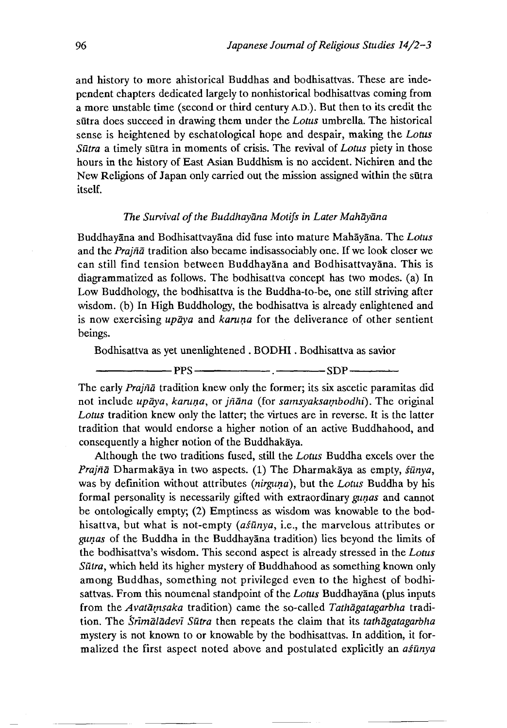and history to more ahistorical Buddhas and bodhisattvas. These are independent chapters dedicated largely to nonhistorical bodhisattvas coming from a more unstable time (second or third century A.D.). But then to its credit the sutra does succeed in drawing them under the *Lotus* umbrella. The historical sense is heightened by eschatological hope and despair, making the *Lotus Sutra* a timely sutra in moments of crisis. The revival of *Lotus* piety in those hours in the history of East Asian Buddhism is no accident. Nichiren and the New Religions of Japan only carried out the mission assigned within the sutra itself.

#### *The Survival of the Buddhayana Motifs in Later Mahayana*

Buddhayana and Bodhisattvayana did fuse into mature Mahayana. The *Lotus* and the *Prajna* tradition also became indisassociably one. If we look closer we can still find tension between Buddhayana and Bodhisattvayana. This is diagrammatized as follows. The bodhisattva concept has two modes, (a) In Low Buddhology, the bodhisattva is the Buddha-to-be, one still striving after wisdom, (b) In High Buddhology, the bodhisattva is already enlightened and is now exercising *upaya* and *karuna* for the deliverance of other sentient beings.

Bodhisattva as yet unenlightened . BODHI . Bodhisattva as savior

----------- PPS------------•--------SDP------ —

The early *Prajna* tradition knew only the former; its six ascetic paramitas did not include *upaya, karuna*, or *jñana* (for *samsyaksambodhi)*. The original *Lotus* tradition knew only the latter; the virtues are in reverse. It is the latter tradition that would endorse a higher notion of an active Buddhahood, and consequently a higher notion of the Buddhakaya.

Although the two traditions fused, still the *Lotus* Buddha excels over the *Prajna* Dharmakaya in two aspects.(1)The Dharmakaya as empty, *sunya,* was by definition without attributes *(nirguna),* but the *Lotus* Buddha by his formal personality is necessarily gifted with extraordinary *gunas* and cannot be ontologically empty; (2) Emptiness as wisdom was knowable to the bodhisattva, but what is not-empty (asūnya, i.e., the marvelous attributes or *gunas* of the Buddha in the Buddhayana tradition) lies beyond the limits of the bodhisattva's wisdom. This second aspect is already stressed in the *Lotus Sutra,* which held its higher mystery of Buddhahood as something known only among Buddhas, something not privileged even to the highest of bodhisattvas. From this noumenal standpoint of the *Lotus* Buddhayana (plus inputs from the *Avatamsaka* tradition) came the so-called *Tathagatagarbha* tradition. The *Snmaladevi Sutra* then repeats the claim that its *tathagatagarbha* mystery is not known to or knowable by the bodhisattvas. In addition, it formalized the first aspect noted above and postulated explicitly an *asunya*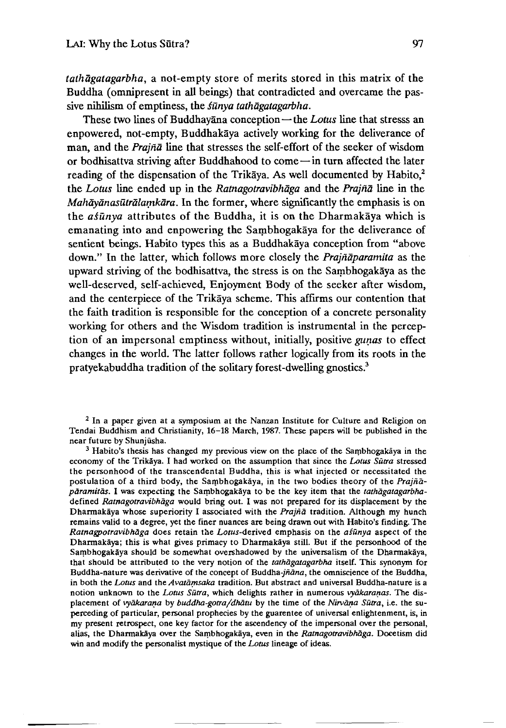*tathagatagarbha,* a not-empty store of merits stored in this matrix of the Buddha (omnipresent in all beings) that contradicted and overcame the passive nihilism of emptiness, the *fūnya tathāgatagarbha*.

These two lines of Buddhayana conception—the *Lotus* line that stresss an enpowered, not-empty, Buddhakaya actively working for the deliverance of man, and the *Prajna* line that stresses the self-effort of the seeker of wisdom or bodhisattva striving after Buddhahood to come—in turn affected the later reading of the dispensation of the Trikaya. As well documented by Habito,<sup>2</sup> the *Lotus* line ended up in the *Ratnagotravibhaga* and the *Prajna* line in the *Mahayanasutralamkara.* In the former, where significantly the emphasis is on the *asūnya* attributes of the Buddha, it is on the Dharmakaya which is emanating into and enpowering the Sambhogakaya for the deliverance of sentient beings. Habito types this as a Buddhakaya conception from "above down." In the latter, which follows more closely the *Prajnaparamita* as the upward striving of the bodhisattva, the stress is on the Sambhogakaya as the well-deserved, self-achieved, Enjoyment Body of the seeker after wisdom, and the centerpiece of the Trikaya scheme. This affirms our contention that the faith tradition is responsible for the conception of a concrete personality working for others and the Wisdom tradition is instrumental in the perception of an impersonal emptiness without, initially, positive *gunas* to effect changes in the world. The latter follows rather logically from its roots in the pratyekabuddha tradition of the solitary forest-dwelling gnostics.3

<sup>2</sup> In a paper given at a symposium at the Nanzan Institute for Culture and Religion on Tendai Buddhism and Christianity, 16-18 March, 1987. These papers will be published in the near future by Shunjūsha.

 $3$  Habito's thesis has changed my previous view on the place of the Sambhogakaya in the economy of the TrikSya. I had worked on the assumption that since the *Lotus Sutra* stressed the personhood of the transcendental Buddha, this is what injected or necessitated the postulation of a third body, the Sambhogakaya, in the two bodies theory of the *Prajnaparamitas.* I was expecting the Sambhogakaya to be the key item that the *tathagatagarbha*defined *Ratnagotravibhaga* would bring out. I was not prepared for its displacement by the Dharmakaya whose superiority I associated with the *Prajna* tradition. Although my hunch remains valid to a degree, yet the finer nuances are being drawn out with Habito's finding. The *Ratnagpotravibhdga* does retain the *Lotus-derivcd* emphasis on the *asunya* aspect of the Dharmakaya; this is what gives primacy to Dharmakaya still. But if the personhood of the Sambhogakāya should be somewhat overshadowed by the universalism of the Dharmakāya, that should be attributed to the very notion of the *tathagatagarbha* itself. This synonym for Buddha-nature was derivative of the concept of Buddha- $i\tilde{n}$ ana, the omniscience of the Buddha, in both the *Lotus* and the *Avaiamsaka* tradition. But abstract and universal Buddha-nature is a notion unknown to the *Lotus Sutra,* which delights rather in numerous *vyakaranas.* The displacement of *vyākarana* by *buddha-gotra/dhātu* by the time of the *Nirvāna Sūtra*, i.e. the superceding of particular, personal prophecies by the guarentee of universal enlightenment, is, in my present retrospect, one key factor for the ascendency of the impersonal over the personal, alias, the Dharmakaya over the Sambhogakaya, even in the *Ratnagotravibhaga*. Docetism did win and modify the personalist mystique of the *Lotus* lineage of ideas.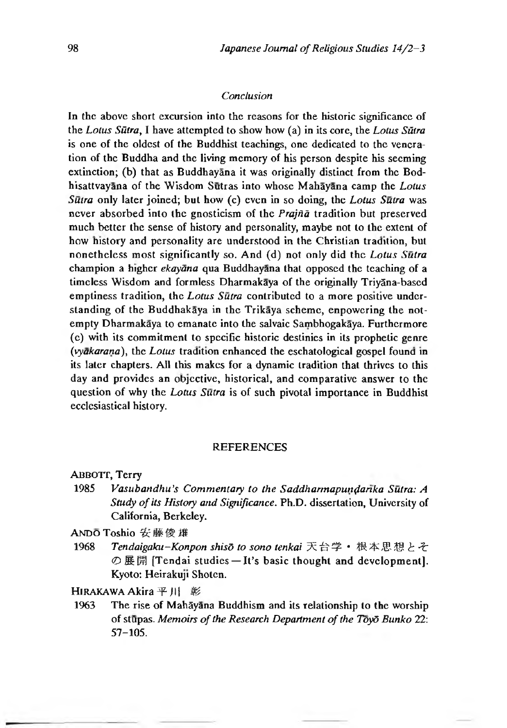#### *Conclusion*

In the above short excursion into the reasons for the historic significance of the *Lotus Sūtra*, I have attempted to show how (a) in its core, the *Lotus Sūtra* is one of the oldest of the Buddhist teachings, one dedicated to the veneration of the Buddha and the living memory of his person despite his seeming extinction; (b) that as Buddhayana it was originally distinct from the Bodhisattvayana of the Wisdom Sutras into whose Mahayana camp the *Lotus Sutra* only later joined; but how (c) even in so doing, the *Lotus Sutra* was never absorbed into the gnosticism of the *Prajña* tradition but preserved much better the sense of history and personality, maybe not to the extent of how history and personality are understood in the Christian tradition, but nonetheless most significantly so. And (d) not only did the *Lotus Sutra* champion a higher *ekaydna* qua Buddhayana that opposed the teaching of a timeless Wisdom and formless Dharmakaya of the originally Triy5na-based emptiness tradition, the *Lotus Sutra* contributed to a more positive understanding of the Buddhakaya in the Trikaya scheme, enpowering the notempty Dharmakaya to emanate into the salvaic Sambhogakaya. Furthermore (c) with its commitment to specific historic destinies in its prophetic genre *(vyakarana),* the *Lotus* tradition enhanced the eschatological gospel founa in its later chapters. All this makes for a dynamic tradition that thrives to this day and provides an objective, historical, and comparative answer to the question of why the *Lotus Sutra* is of such pivotal importance in Buddhist ecclesiastical history.

#### **REFERENCES**

ABBOIT, Terry

1985 *Vasubandhu's Commentary to the Saddharmapundarika Sutra: A Study of its History and Significance.* Ph.D. dissertation, University of California, Berkeley.

ANDOToshio安藤俊雄

1968 *Tendaigaku -Konpon shisd to sono tenkai* 天台学 • 根本思想とそ の展開 [Tendai studies  $-It$ 's basic thought and development]. Kyoto: Heirakuji Shoten.

HIRAKAWA Akira 平川 彰

1963 The rise of Mahāyana Buddhism and its relationship to the worship of stupas. *Memoirs of the Research Department of the Toyd Bunko* 22: 57-105.